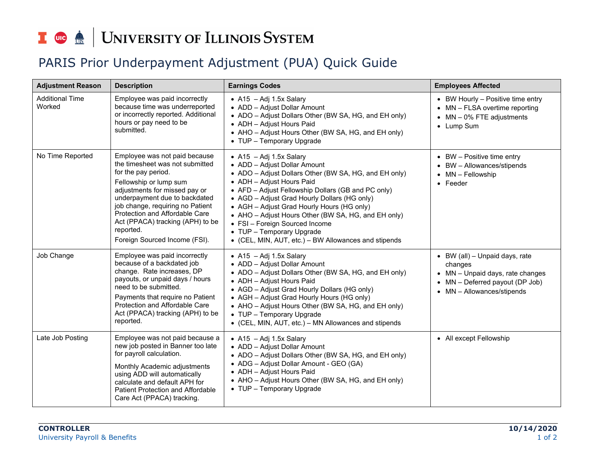## I **the division of South SCS** SYSTEM

## PARIS Prior Underpayment Adjustment (PUA) Quick Guide

| <b>Adjustment Reason</b>         | <b>Description</b>                                                                                                                                                                                                                                                                                                                          | <b>Earnings Codes</b>                                                                                                                                                                                                                                                                                                                                                                                                                                                             | <b>Employees Affected</b>                                                                                                                                                    |
|----------------------------------|---------------------------------------------------------------------------------------------------------------------------------------------------------------------------------------------------------------------------------------------------------------------------------------------------------------------------------------------|-----------------------------------------------------------------------------------------------------------------------------------------------------------------------------------------------------------------------------------------------------------------------------------------------------------------------------------------------------------------------------------------------------------------------------------------------------------------------------------|------------------------------------------------------------------------------------------------------------------------------------------------------------------------------|
| <b>Additional Time</b><br>Worked | Employee was paid incorrectly<br>because time was underreported<br>or incorrectly reported. Additional<br>hours or pay need to be<br>submitted.                                                                                                                                                                                             | • $A15 - Adj 1.5x$ Salary<br>• ADD - Adjust Dollar Amount<br>• ADO - Adjust Dollars Other (BW SA, HG, and EH only)<br>• ADH - Adjust Hours Paid<br>• AHO - Adjust Hours Other (BW SA, HG, and EH only)<br>• TUP - Temporary Upgrade                                                                                                                                                                                                                                               | • BW Hourly - Positive time entry<br>MN - FLSA overtime reporting<br>$MN - 0\%$ FTE adjustments<br>• Lump Sum                                                                |
| No Time Reported                 | Employee was not paid because<br>the timesheet was not submitted<br>for the pay period.<br>Fellowship or lump sum<br>adjustments for missed pay or<br>underpayment due to backdated<br>job change, requiring no Patient<br>Protection and Affordable Care<br>Act (PPACA) tracking (APH) to be<br>reported.<br>Foreign Sourced Income (FSI). | • $A15 - Adj 1.5x$ Salary<br>• ADD - Adjust Dollar Amount<br>• ADO - Adjust Dollars Other (BW SA, HG, and EH only)<br>• ADH - Adjust Hours Paid<br>• AFD - Adjust Fellowship Dollars (GB and PC only)<br>• AGD - Adjust Grad Hourly Dollars (HG only)<br>• AGH - Adjust Grad Hourly Hours (HG only)<br>• AHO - Adjust Hours Other (BW SA, HG, and EH only)<br>• FSI - Foreign Sourced Income<br>• TUP - Temporary Upgrade<br>• (CEL, MIN, AUT, etc.) - BW Allowances and stipends | $\bullet$ BW - Positive time entry<br>BW - Allowances/stipends<br>MN - Fellowship<br>Feeder                                                                                  |
| Job Change                       | Employee was paid incorrectly<br>because of a backdated job<br>change. Rate increases, DP<br>payouts, or unpaid days / hours<br>need to be submitted.<br>Payments that require no Patient<br>Protection and Affordable Care<br>Act (PPACA) tracking (APH) to be<br>reported.                                                                | • A15 - Adj 1.5x Salary<br>• ADD - Adjust Dollar Amount<br>• ADO - Adjust Dollars Other (BW SA, HG, and EH only)<br>• ADH - Adjust Hours Paid<br>• AGD - Adjust Grad Hourly Dollars (HG only)<br>• AGH - Adjust Grad Hourly Hours (HG only)<br>• AHO - Adjust Hours Other (BW SA, HG, and EH only)<br>• TUP - Temporary Upgrade<br>• (CEL, MIN, AUT, etc.) - MN Allowances and stipends                                                                                           | $\bullet$ BW (all) - Unpaid days, rate<br>changes<br>• MN - Unpaid days, rate changes<br>MN - Deferred payout (DP Job)<br>$\bullet$<br>MN - Allowances/stipends<br>$\bullet$ |
| Late Job Posting                 | Employee was not paid because a<br>new job posted in Banner too late<br>for payroll calculation.<br>Monthly Academic adjustments<br>using ADD will automatically<br>calculate and default APH for<br>Patient Protection and Affordable<br>Care Act (PPACA) tracking.                                                                        | • A15 - Adj 1.5x Salary<br>• ADD - Adjust Dollar Amount<br>• ADO - Adjust Dollars Other (BW SA, HG, and EH only)<br>• ADG - Adjust Dollar Amount - GEO (GA)<br>• ADH - Adjust Hours Paid<br>• AHO - Adjust Hours Other (BW SA, HG, and EH only)<br>• TUP - Temporary Upgrade                                                                                                                                                                                                      | • All except Fellowship                                                                                                                                                      |